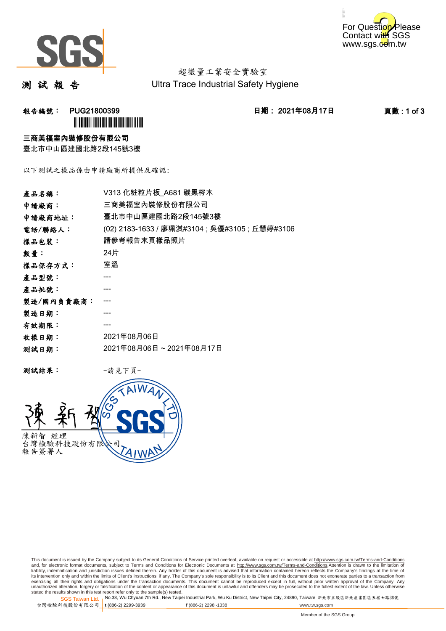



超微量工業安全實驗室 Ultra Trace Industrial Safety Hygiene

測 試 報 告

報告編號: PUG21800399 日期: 2021年08月17日 頁數 : 1 of 3 **`** 

#### 三商美福室內裝修股份有限公司

臺北市中山區建國北路2段145號3樓

以下測試之樣品係由申請廠商所提供及確認:

| V313 化粧粒片板 A681 碳黑梣木                           |
|------------------------------------------------|
| 三商美福室內裝修股份有限公司                                 |
| 臺北市中山區建國北路2段145號3樓                             |
| (02) 2183-1633 / 廖珮淇#3104 ; 吳優#3105 ; 丘慧婷#3106 |
| 請參考報告末頁樣品照片                                    |
| 24片                                            |
| 室溫                                             |
|                                                |
|                                                |
|                                                |
|                                                |
|                                                |
| 2021年08月06日                                    |
| 2021年08月06日~2021年08月17日                        |
|                                                |

测試結果: 一請見下頁



This document is issued by the Company subject to its General Conditions of Service printed overleaf, available on request or accessible at http://www.sgs.com.tw/Terms-and-Conditions and, for electronic format documents, subject to Terms and Conditions for Electronic Documents at <u>http://www.sgs.com.tw/Terms-and-Conditions</u>.Attention is drawn to the limitation of<br>liability, indemnification and jurisdic exercising all their rights and obligations under the transaction documents. This document cannot be reproduced except in full, without prior written approval of the Company. Any<br>unauthorized alteration, forgery or falsifi

SGS Taiwan Ltd. 1 stated the results shown in this test report refer only to the sample(s) tested.<br>Stated the results shown in this test report refer only to the sample(s) tested.

台灣檢驗科技股份有限公司

**t** (886-2) 2299-3939 **f** (886-2) 2298 -1338 www.tw.sgs.com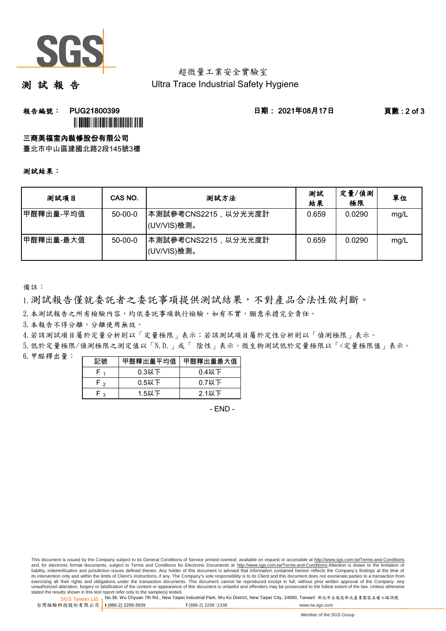

### 超微量工業安全實驗室 Ultra Trace Industrial Safety Hygiene

測 試 報 告

## **報告編號: PUG21800399 日期: 2021年08月17日 頁數:2 of 3 `**

### 三商美福室內裝修股份有限公司

臺北市中山區建國北路2段145號3樓

#### 測試結果:

| 測試項目      | CAS NO.       | 测試方法                                | 測試<br>結果 | 定量/偵測<br>極限 | 單位   |
|-----------|---------------|-------------------------------------|----------|-------------|------|
| 甲醛釋出量-平均值 | $50 - 00 - 0$ | ┃本測試參考CNS2215,以分光光度計<br>(UV/VIS)檢測。 | 0.659    | 0.0290      | mg/L |
| 甲醛釋出量-最大值 | $50 - 00 - 0$ | ┃本測試參考CNS2215,以分光光度計<br>(UV/VIS)檢測。 | 0.659    | 0.0290      | mg/L |

備註:

1.測試報告僅就委託者之委託事項提供測試結果,不對產品合法性做判斷。

2. 本測試報告之所有檢驗內容,均依委託事項執行檢驗,如有不實,願意承擔完全責任。

3. 本報告不得分離,分離使用無效。

4.若該測試項目屬於定量分析則以「定量極限」表示;若該測試項目屬於定性分析則以「偵測極限」表示。

5.低於定量極限/偵測極限之測定值以「N.D.」或「 陰性」表示。微生物測試低於定量極限以「<定量極限值」表示。

6.甲醛釋出量:

| 記號 | 甲醛釋出量平均值 | 甲醛釋出量最大值 |
|----|----------|----------|
|    | $0.3$ 以下 | $0.4$ 以下 |
| F, | $0.5$ 以下 | $0.7$ 以下 |
| ຼ  | $1.5$ 以下 | $2.1$ 以下 |

 $-$  FND $-$ 

SGS Taiwan Ltd. 1 stated the results shown in this test report refer only to the sample(s) tested.<br>Stated the results shown in this test report refer only to the sample(s) tested.

台灣檢驗科技股份有限公司

**t** (886-2) 2299-3939 **f** (886-2) 2298 -1338 www.tw.sgs.com

This document is issued by the Company subject to its General Conditions of Service printed overleaf, available on request or accessible at http://www.sgs.com.tw/Terms-and-Conditions and, for electronic format documents, subject to Terms and Conditions for Electronic Documents at http://www.sgs.com.tw/Terms-and-Conditions.Attention is drawn to the limitation of liability, indemnification and jurisdiction issues defined therein. Any holder of this document is advised that information contained hereon reflects the Company's findings at the time of<br>its intervention only and within t exercising all their rights and obligations under the transaction documents. This document cannot be reproduced except in full, without prior written approval of the Company. Any<br>unauthorized alteration, forgery or falsifi